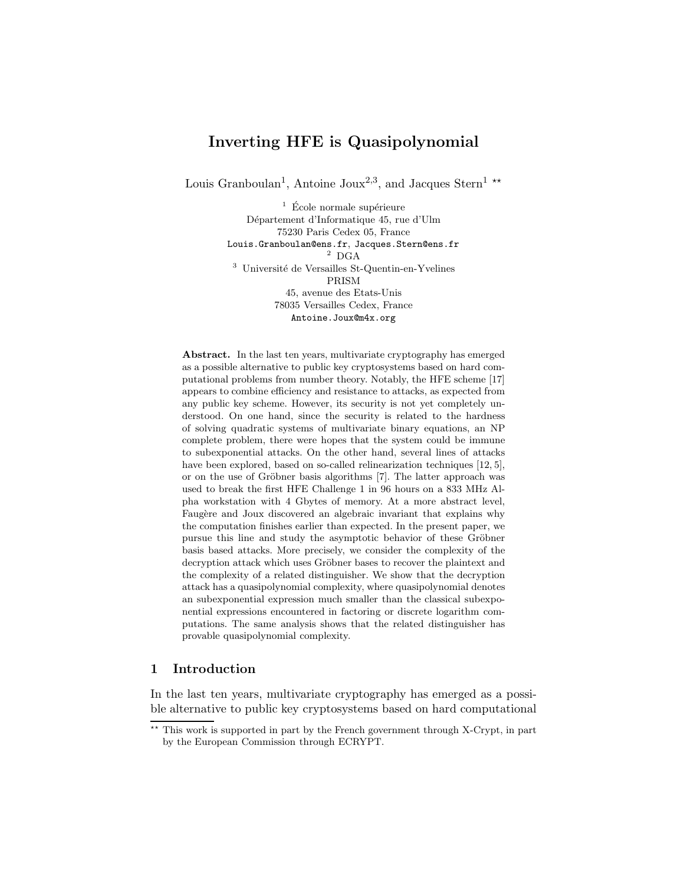# Inverting HFE is Quasipolynomial

Louis Granboulan<sup>1</sup>, Antoine Joux<sup>2,3</sup>, and Jacques Stern<sup>1</sup><sup>\*\*</sup>

 $1$  École normale supérieure Département d'Informatique 45, rue d'Ulm 75230 Paris Cedex 05, France Louis.Granboulan@ens.fr, Jacques.Stern@ens.fr  $^{\rm 2}$  DGA <sup>3</sup> Université de Versailles St-Quentin-en-Yvelines PRISM 45, avenue des Etats-Unis 78035 Versailles Cedex, France Antoine.Joux@m4x.org

Abstract. In the last ten years, multivariate cryptography has emerged as a possible alternative to public key cryptosystems based on hard computational problems from number theory. Notably, the HFE scheme [17] appears to combine efficiency and resistance to attacks, as expected from any public key scheme. However, its security is not yet completely understood. On one hand, since the security is related to the hardness of solving quadratic systems of multivariate binary equations, an NP complete problem, there were hopes that the system could be immune to subexponential attacks. On the other hand, several lines of attacks have been explored, based on so-called relinearization techniques [12, 5], or on the use of Gröbner basis algorithms [7]. The latter approach was used to break the first HFE Challenge 1 in 96 hours on a 833 MHz Alpha workstation with 4 Gbytes of memory. At a more abstract level, Faugère and Joux discovered an algebraic invariant that explains why the computation finishes earlier than expected. In the present paper, we pursue this line and study the asymptotic behavior of these Gröbner basis based attacks. More precisely, we consider the complexity of the decryption attack which uses Gröbner bases to recover the plaintext and the complexity of a related distinguisher. We show that the decryption attack has a quasipolynomial complexity, where quasipolynomial denotes an subexponential expression much smaller than the classical subexponential expressions encountered in factoring or discrete logarithm computations. The same analysis shows that the related distinguisher has provable quasipolynomial complexity.

# 1 Introduction

In the last ten years, multivariate cryptography has emerged as a possible alternative to public key cryptosystems based on hard computational

<sup>\*\*</sup> This work is supported in part by the French government through X-Crypt, in part by the European Commission through ECRYPT.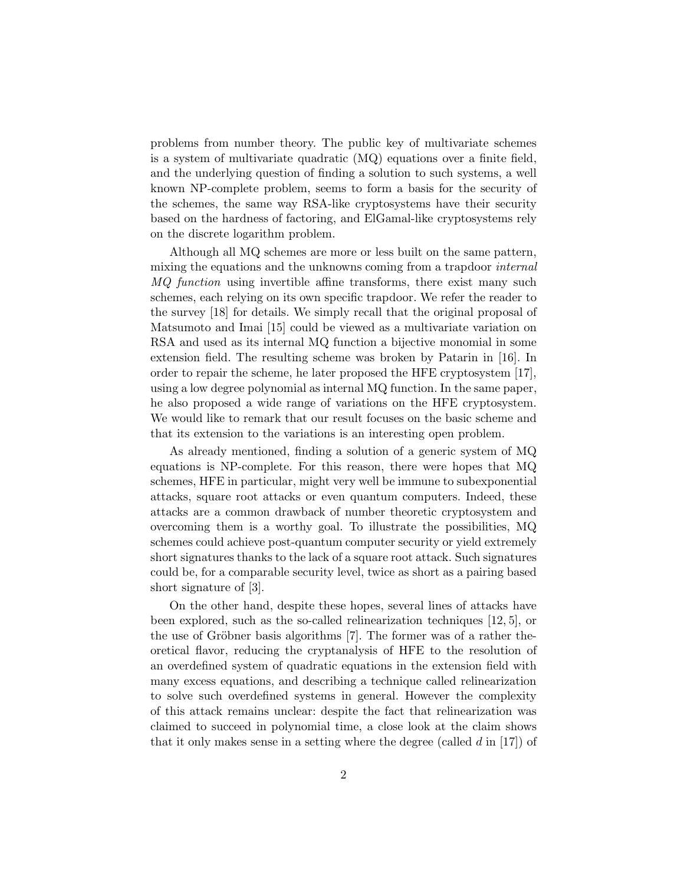problems from number theory. The public key of multivariate schemes is a system of multivariate quadratic (MQ) equations over a finite field, and the underlying question of finding a solution to such systems, a well known NP-complete problem, seems to form a basis for the security of the schemes, the same way RSA-like cryptosystems have their security based on the hardness of factoring, and ElGamal-like cryptosystems rely on the discrete logarithm problem.

Although all MQ schemes are more or less built on the same pattern, mixing the equations and the unknowns coming from a trapdoor *internal* MQ function using invertible affine transforms, there exist many such schemes, each relying on its own specific trapdoor. We refer the reader to the survey [18] for details. We simply recall that the original proposal of Matsumoto and Imai [15] could be viewed as a multivariate variation on RSA and used as its internal MQ function a bijective monomial in some extension field. The resulting scheme was broken by Patarin in [16]. In order to repair the scheme, he later proposed the HFE cryptosystem [17], using a low degree polynomial as internal MQ function. In the same paper, he also proposed a wide range of variations on the HFE cryptosystem. We would like to remark that our result focuses on the basic scheme and that its extension to the variations is an interesting open problem.

As already mentioned, finding a solution of a generic system of MQ equations is NP-complete. For this reason, there were hopes that MQ schemes, HFE in particular, might very well be immune to subexponential attacks, square root attacks or even quantum computers. Indeed, these attacks are a common drawback of number theoretic cryptosystem and overcoming them is a worthy goal. To illustrate the possibilities, MQ schemes could achieve post-quantum computer security or yield extremely short signatures thanks to the lack of a square root attack. Such signatures could be, for a comparable security level, twice as short as a pairing based short signature of [3].

On the other hand, despite these hopes, several lines of attacks have been explored, such as the so-called relinearization techniques [12, 5], or the use of Gröbner basis algorithms  $[7]$ . The former was of a rather theoretical flavor, reducing the cryptanalysis of HFE to the resolution of an overdefined system of quadratic equations in the extension field with many excess equations, and describing a technique called relinearization to solve such overdefined systems in general. However the complexity of this attack remains unclear: despite the fact that relinearization was claimed to succeed in polynomial time, a close look at the claim shows that it only makes sense in a setting where the degree (called  $d$  in [17]) of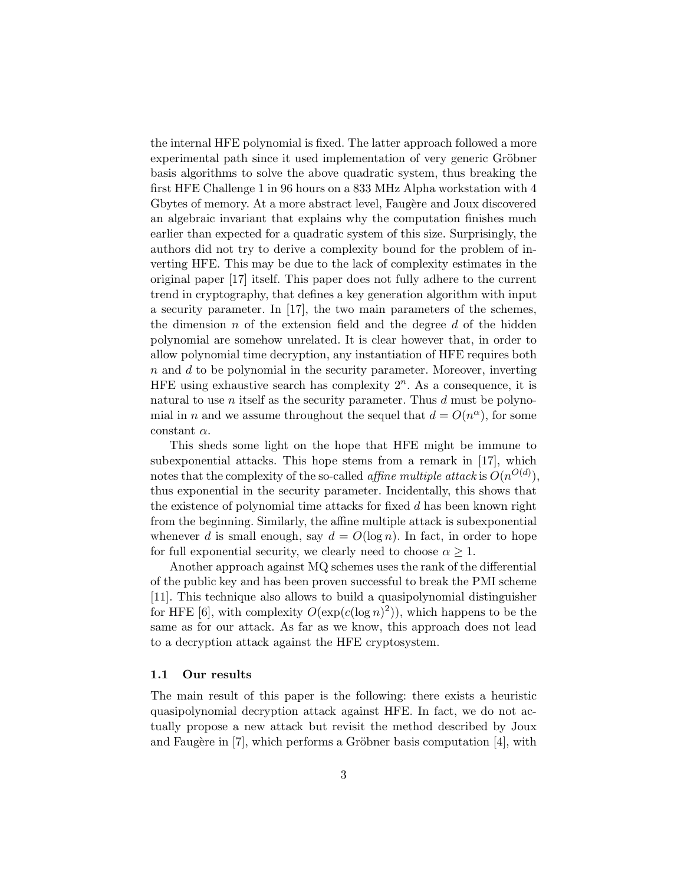the internal HFE polynomial is fixed. The latter approach followed a more experimental path since it used implementation of very generic Gröbner basis algorithms to solve the above quadratic system, thus breaking the first HFE Challenge 1 in 96 hours on a 833 MHz Alpha workstation with 4 Gbytes of memory. At a more abstract level, Faugère and Joux discovered an algebraic invariant that explains why the computation finishes much earlier than expected for a quadratic system of this size. Surprisingly, the authors did not try to derive a complexity bound for the problem of inverting HFE. This may be due to the lack of complexity estimates in the original paper [17] itself. This paper does not fully adhere to the current trend in cryptography, that defines a key generation algorithm with input a security parameter. In [17], the two main parameters of the schemes, the dimension  $n$  of the extension field and the degree  $d$  of the hidden polynomial are somehow unrelated. It is clear however that, in order to allow polynomial time decryption, any instantiation of HFE requires both  $n$  and  $d$  to be polynomial in the security parameter. Moreover, inverting HFE using exhaustive search has complexity  $2<sup>n</sup>$ . As a consequence, it is natural to use *n* itself as the security parameter. Thus  $d$  must be polynomial in *n* and we assume throughout the sequel that  $d = O(n^{\alpha})$ , for some constant  $\alpha$ .

This sheds some light on the hope that HFE might be immune to subexponential attacks. This hope stems from a remark in [17], which notes that the complexity of the so-called *affine multiple attack* is  $O(n^{O(d)})$ , thus exponential in the security parameter. Incidentally, this shows that the existence of polynomial time attacks for fixed d has been known right from the beginning. Similarly, the affine multiple attack is subexponential whenever d is small enough, say  $d = O(\log n)$ . In fact, in order to hope for full exponential security, we clearly need to choose  $\alpha \geq 1$ .

Another approach against MQ schemes uses the rank of the differential of the public key and has been proven successful to break the PMI scheme [11]. This technique also allows to build a quasipolynomial distinguisher for HFE [6], with complexity  $O(\exp(c(\log n)^2))$ , which happens to be the same as for our attack. As far as we know, this approach does not lead to a decryption attack against the HFE cryptosystem.

## 1.1 Our results

The main result of this paper is the following: there exists a heuristic quasipolynomial decryption attack against HFE. In fact, we do not actually propose a new attack but revisit the method described by Joux and Faugère in  $[7]$ , which performs a Gröbner basis computation  $[4]$ , with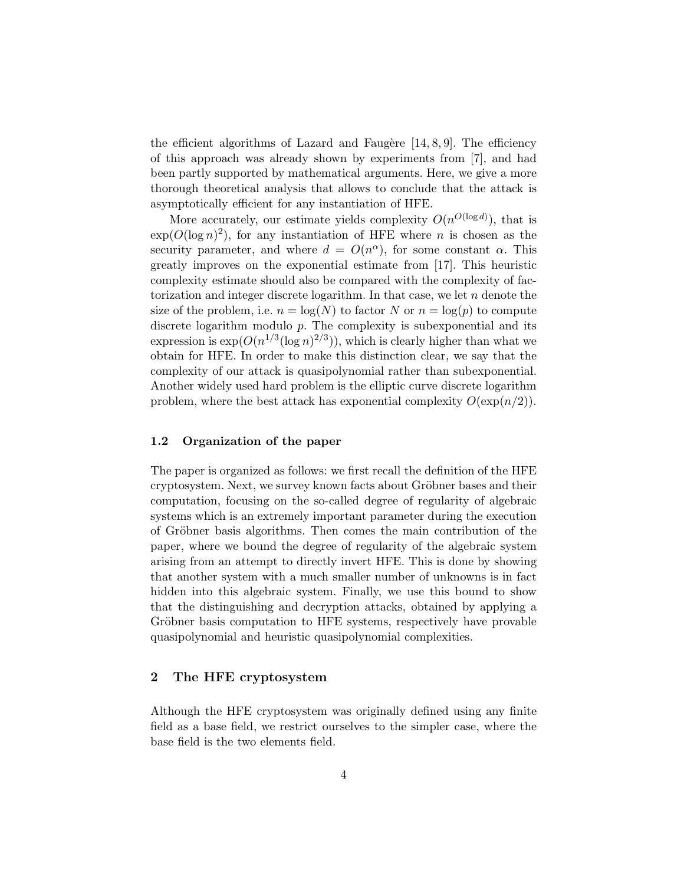the efficient algorithms of Lazard and Faugère  $[14, 8, 9]$ . The efficiency of this approach was already shown by experiments from [7], and had been partly supported by mathematical arguments. Here, we give a more thorough theoretical analysis that allows to conclude that the attack is asymptotically efficient for any instantiation of HFE.

More accurately, our estimate yields complexity  $O(n^{O(\log d)})$ , that is  $\exp(O(\log n)^2)$ , for any instantiation of HFE where *n* is chosen as the security parameter, and where  $d = O(n^{\alpha})$ , for some constant  $\alpha$ . This greatly improves on the exponential estimate from [17]. This heuristic complexity estimate should also be compared with the complexity of factorization and integer discrete logarithm. In that case, we let  $n$  denote the size of the problem, i.e.  $n = \log(N)$  to factor N or  $n = \log(p)$  to compute discrete logarithm modulo  $p$ . The complexity is subexponential and its expression is  $\exp(O(n^{1/3}(\log n)^{2/3}))$ , which is clearly higher than what we obtain for HFE. In order to make this distinction clear, we say that the complexity of our attack is quasipolynomial rather than subexponential. Another widely used hard problem is the elliptic curve discrete logarithm problem, where the best attack has exponential complexity  $O(\exp(n/2))$ .

## 1.2 Organization of the paper

The paper is organized as follows: we first recall the definition of the HFE cryptosystem. Next, we survey known facts about Gröbner bases and their computation, focusing on the so-called degree of regularity of algebraic systems which is an extremely important parameter during the execution of Gröbner basis algorithms. Then comes the main contribution of the paper, where we bound the degree of regularity of the algebraic system arising from an attempt to directly invert HFE. This is done by showing that another system with a much smaller number of unknowns is in fact hidden into this algebraic system. Finally, we use this bound to show that the distinguishing and decryption attacks, obtained by applying a Gröbner basis computation to HFE systems, respectively have provable quasipolynomial and heuristic quasipolynomial complexities.

# 2 The HFE cryptosystem

Although the HFE cryptosystem was originally defined using any finite field as a base field, we restrict ourselves to the simpler case, where the base field is the two elements field.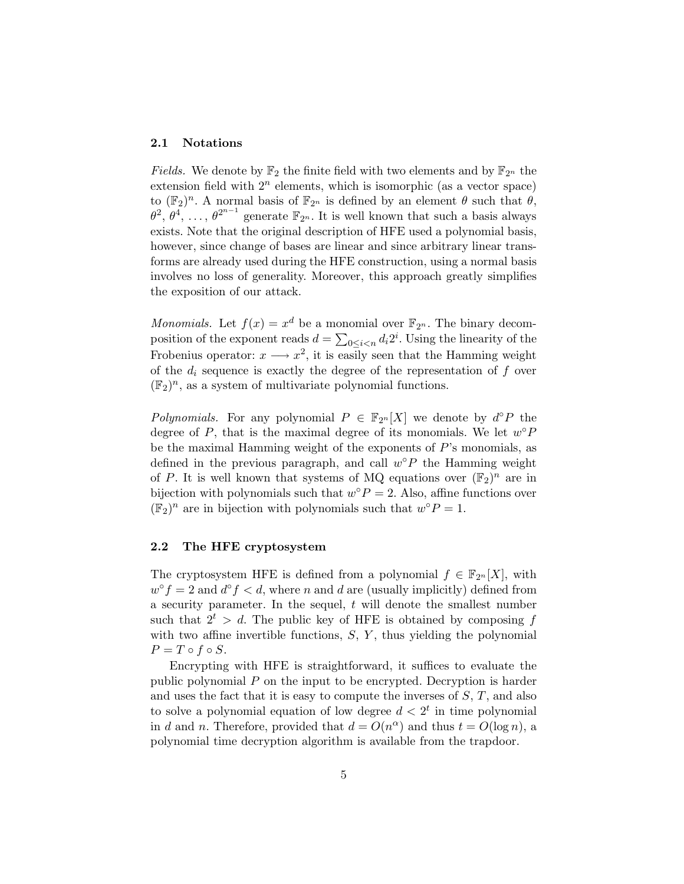#### 2.1 Notations

*Fields*. We denote by  $\mathbb{F}_2$  the finite field with two elements and by  $\mathbb{F}_{2^n}$  the extension field with  $2^n$  elements, which is isomorphic (as a vector space) to  $(\mathbb{F}_2)^n$ . A normal basis of  $\mathbb{F}_{2^n}$  is defined by an element  $\theta$  such that  $\theta$ ,  $\theta^2, \theta^4, \ldots, \theta^{2^{n-1}}$  generate  $\mathbb{F}_{2^n}$ . It is well known that such a basis always exists. Note that the original description of HFE used a polynomial basis, however, since change of bases are linear and since arbitrary linear transforms are already used during the HFE construction, using a normal basis involves no loss of generality. Moreover, this approach greatly simplifies the exposition of our attack.

*Monomials.* Let  $f(x) = x^d$  be a monomial over  $\mathbb{F}_{2^n}$ . The binary decomposition of the exponent reads  $d = \sum_{0 \leq i < n} d_i 2^i$ . Using the linearity of the Frobenius operator:  $x \longrightarrow x^2$ , it is easily seen that the Hamming weight of the  $d_i$  sequence is exactly the degree of the representation of f over  $(\mathbb{F}_2)^n$ , as a system of multivariate polynomial functions.

Polynomials. For any polynomial  $P \in \mathbb{F}_{2^n}[X]$  we denote by  $d^{\circ}P$  the degree of  $P$ , that is the maximal degree of its monomials. We let  $w^{\circ}P$ be the maximal Hamming weight of the exponents of  $P$ 's monomials, as defined in the previous paragraph, and call  $w^{\circ}P$  the Hamming weight of P. It is well known that systems of MQ equations over  $(\mathbb{F}_2)^n$  are in bijection with polynomials such that  $w^{\circ} P = 2$ . Also, affine functions over  $(\mathbb{F}_2)^n$  are in bijection with polynomials such that  $w^{\circ} P = 1$ .

## 2.2 The HFE cryptosystem

The cryptosystem HFE is defined from a polynomial  $f \in \mathbb{F}_{2^n}[X]$ , with  $w^{\circ} f = 2$  and  $d^{\circ} f < d$ , where n and d are (usually implicitly) defined from a security parameter. In the sequel,  $t$  will denote the smallest number such that  $2^t > d$ . The public key of HFE is obtained by composing f with two affine invertible functions,  $S, Y$ , thus yielding the polynomial  $P = T \circ f \circ S.$ 

Encrypting with HFE is straightforward, it suffices to evaluate the public polynomial  $P$  on the input to be encrypted. Decryption is harder and uses the fact that it is easy to compute the inverses of  $S, T$ , and also to solve a polynomial equation of low degree  $d < 2<sup>t</sup>$  in time polynomial in d and n. Therefore, provided that  $d = O(n^{\alpha})$  and thus  $t = O(\log n)$ , a polynomial time decryption algorithm is available from the trapdoor.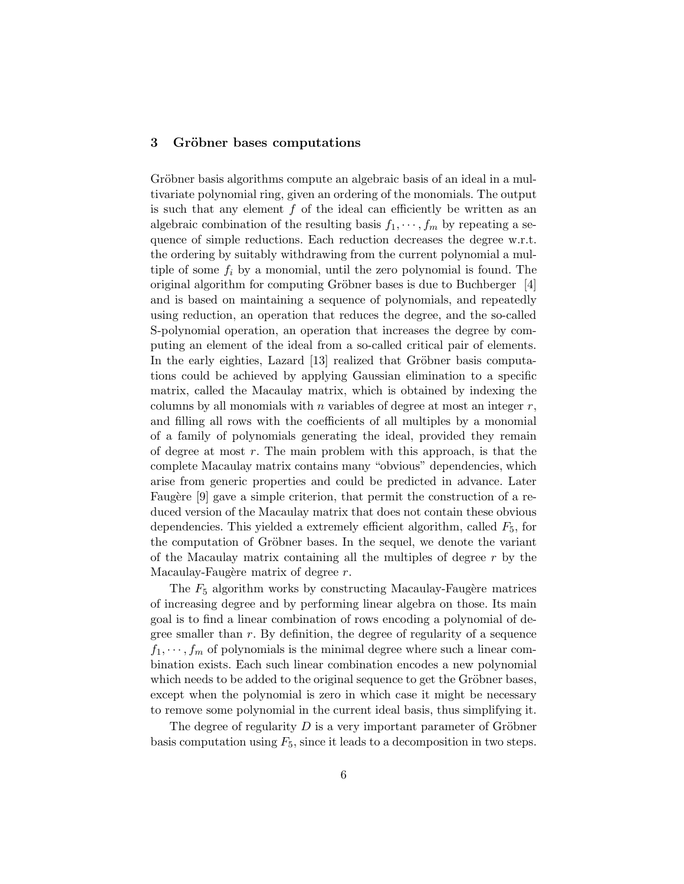# 3 Gröbner bases computations

Gröbner basis algorithms compute an algebraic basis of an ideal in a multivariate polynomial ring, given an ordering of the monomials. The output is such that any element  $f$  of the ideal can efficiently be written as an algebraic combination of the resulting basis  $f_1, \dots, f_m$  by repeating a sequence of simple reductions. Each reduction decreases the degree w.r.t. the ordering by suitably withdrawing from the current polynomial a multiple of some  $f_i$  by a monomial, until the zero polynomial is found. The original algorithm for computing Gröbner bases is due to Buchberger  $[4]$ and is based on maintaining a sequence of polynomials, and repeatedly using reduction, an operation that reduces the degree, and the so-called S-polynomial operation, an operation that increases the degree by computing an element of the ideal from a so-called critical pair of elements. In the early eighties, Lazard [13] realized that Gröbner basis computations could be achieved by applying Gaussian elimination to a specific matrix, called the Macaulay matrix, which is obtained by indexing the columns by all monomials with n variables of degree at most an integer  $r$ , and filling all rows with the coefficients of all multiples by a monomial of a family of polynomials generating the ideal, provided they remain of degree at most  $r$ . The main problem with this approach, is that the complete Macaulay matrix contains many "obvious" dependencies, which arise from generic properties and could be predicted in advance. Later Faugère [9] gave a simple criterion, that permit the construction of a reduced version of the Macaulay matrix that does not contain these obvious dependencies. This yielded a extremely efficient algorithm, called  $F_5$ , for the computation of Gröbner bases. In the sequel, we denote the variant of the Macaulay matrix containing all the multiples of degree r by the Macaulay-Faugère matrix of degree  $r$ .

The  $F_5$  algorithm works by constructing Macaulay-Faugère matrices of increasing degree and by performing linear algebra on those. Its main goal is to find a linear combination of rows encoding a polynomial of degree smaller than  $r$ . By definition, the degree of regularity of a sequence  $f_1, \dots, f_m$  of polynomials is the minimal degree where such a linear combination exists. Each such linear combination encodes a new polynomial which needs to be added to the original sequence to get the Gröbner bases, except when the polynomial is zero in which case it might be necessary to remove some polynomial in the current ideal basis, thus simplifying it.

The degree of regularity  $D$  is a very important parameter of Gröbner basis computation using  $F_5$ , since it leads to a decomposition in two steps.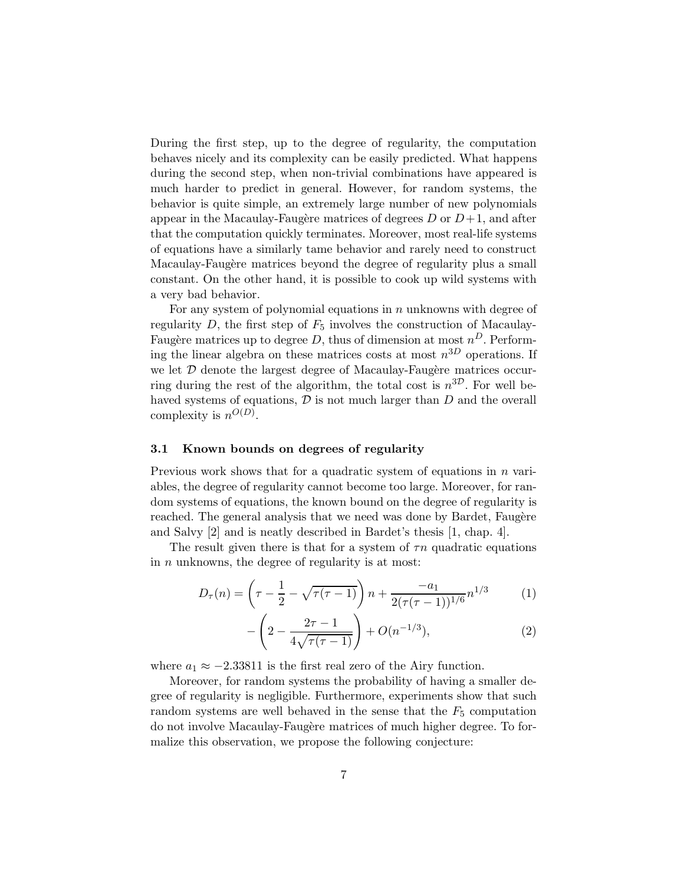During the first step, up to the degree of regularity, the computation behaves nicely and its complexity can be easily predicted. What happens during the second step, when non-trivial combinations have appeared is much harder to predict in general. However, for random systems, the behavior is quite simple, an extremely large number of new polynomials appear in the Macaulay-Faugère matrices of degrees  $D$  or  $D+1$ , and after that the computation quickly terminates. Moreover, most real-life systems of equations have a similarly tame behavior and rarely need to construct Macaulay-Faugère matrices beyond the degree of regularity plus a small constant. On the other hand, it is possible to cook up wild systems with a very bad behavior.

For any system of polynomial equations in  $n$  unknowns with degree of regularity  $D$ , the first step of  $F_5$  involves the construction of Macaulay-Faugère matrices up to degree D, thus of dimension at most  $n^D$ . Performing the linear algebra on these matrices costs at most  $n^{3D}$  operations. If we let  $D$  denote the largest degree of Macaulay-Faugère matrices occurring during the rest of the algorithm, the total cost is  $n^{3D}$ . For well behaved systems of equations,  $\mathcal D$  is not much larger than  $D$  and the overall complexity is  $n^{O(D)}$ .

### 3.1 Known bounds on degrees of regularity

Previous work shows that for a quadratic system of equations in  $n$  variables, the degree of regularity cannot become too large. Moreover, for random systems of equations, the known bound on the degree of regularity is reached. The general analysis that we need was done by Bardet, Faugère and Salvy [2] and is neatly described in Bardet's thesis [1, chap. 4].

The result given there is that for a system of  $\tau n$  quadratic equations in  $n$  unknowns, the degree of regularity is at most:

$$
D_{\tau}(n) = \left(\tau - \frac{1}{2} - \sqrt{\tau(\tau - 1)}\right) n + \frac{-a_1}{2(\tau(\tau - 1))^{1/6}} n^{1/3} \tag{1}
$$

$$
-\left(2-\frac{2\tau-1}{4\sqrt{\tau(\tau-1)}}\right)+O(n^{-1/3}),\tag{2}
$$

where  $a_1 \approx -2.33811$  is the first real zero of the Airy function.

Moreover, for random systems the probability of having a smaller degree of regularity is negligible. Furthermore, experiments show that such random systems are well behaved in the sense that the  $F_5$  computation do not involve Macaulay-Faugère matrices of much higher degree. To formalize this observation, we propose the following conjecture: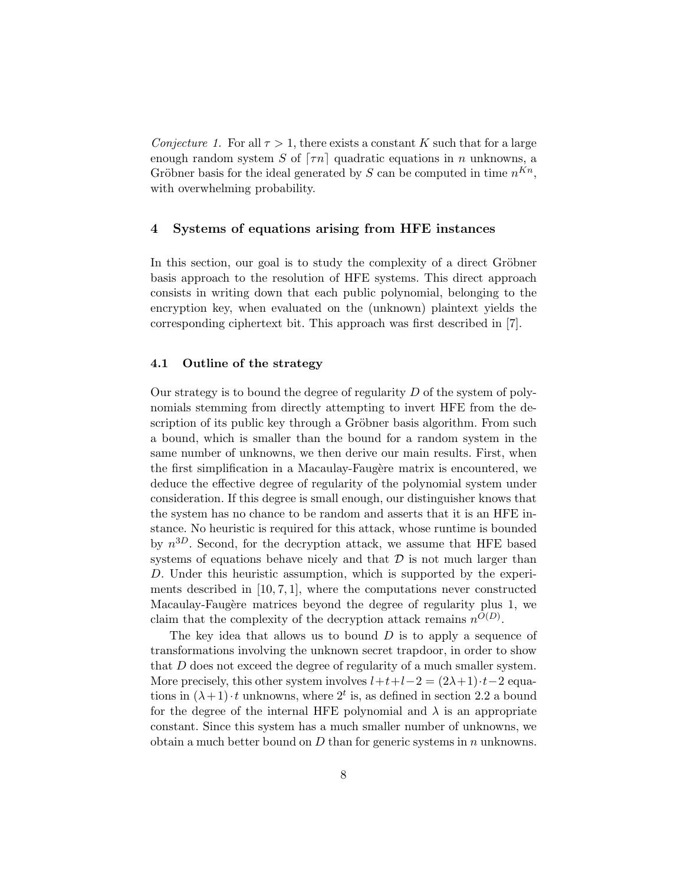Conjecture 1. For all  $\tau > 1$ , there exists a constant K such that for a large enough random system S of  $\lceil \tau n \rceil$  quadratic equations in n unknowns, a Gröbner basis for the ideal generated by S can be computed in time  $n^{Kn}$ , with overwhelming probability.

# 4 Systems of equations arising from HFE instances

In this section, our goal is to study the complexity of a direct Gröbner basis approach to the resolution of HFE systems. This direct approach consists in writing down that each public polynomial, belonging to the encryption key, when evaluated on the (unknown) plaintext yields the corresponding ciphertext bit. This approach was first described in [7].

### 4.1 Outline of the strategy

Our strategy is to bound the degree of regularity  $D$  of the system of polynomials stemming from directly attempting to invert HFE from the description of its public key through a Gröbner basis algorithm. From such a bound, which is smaller than the bound for a random system in the same number of unknowns, we then derive our main results. First, when the first simplification in a Macaulay-Faugère matrix is encountered, we deduce the effective degree of regularity of the polynomial system under consideration. If this degree is small enough, our distinguisher knows that the system has no chance to be random and asserts that it is an HFE instance. No heuristic is required for this attack, whose runtime is bounded by  $n^{3D}$ . Second, for the decryption attack, we assume that HFE based systems of equations behave nicely and that  $\mathcal D$  is not much larger than D. Under this heuristic assumption, which is supported by the experiments described in  $[10, 7, 1]$ , where the computations never constructed Macaulay-Faugère matrices beyond the degree of regularity plus 1, we claim that the complexity of the decryption attack remains  $n^{O(D)}$ .

The key idea that allows us to bound  $D$  is to apply a sequence of transformations involving the unknown secret trapdoor, in order to show that D does not exceed the degree of regularity of a much smaller system. More precisely, this other system involves  $l+t+l-2 = (2\lambda+1)\cdot t-2$  equations in  $(\lambda + 1) \cdot t$  unknowns, where  $2^t$  is, as defined in section 2.2 a bound for the degree of the internal HFE polynomial and  $\lambda$  is an appropriate constant. Since this system has a much smaller number of unknowns, we obtain a much better bound on  $D$  than for generic systems in  $n$  unknowns.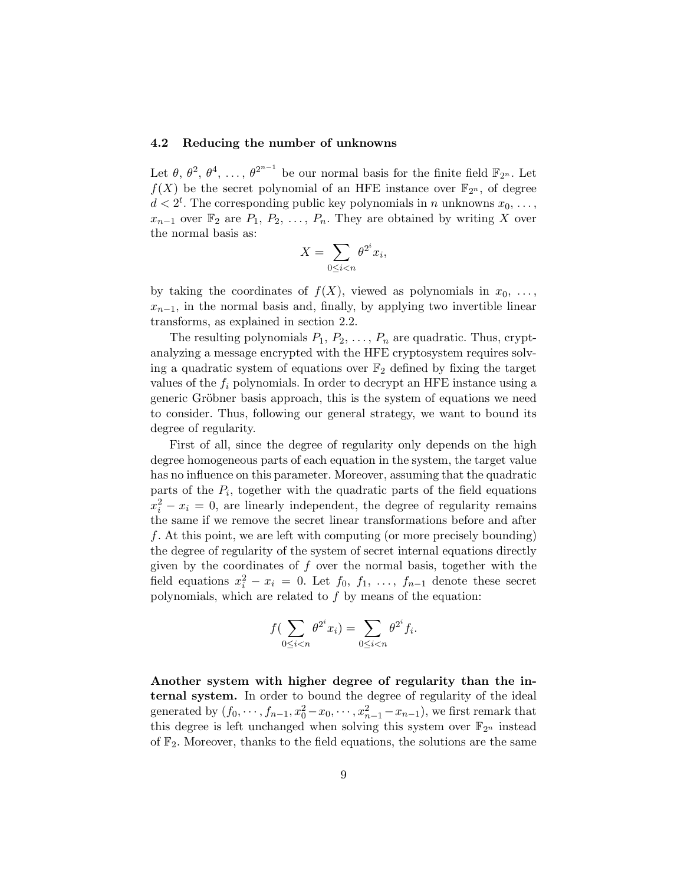#### 4.2 Reducing the number of unknowns

Let  $\theta$ ,  $\theta^2$ ,  $\theta^4$ , ...,  $\theta^{2^{n-1}}$  be our normal basis for the finite field  $\mathbb{F}_{2^n}$ . Let  $f(X)$  be the secret polynomial of an HFE instance over  $\mathbb{F}_{2^n}$ , of degree  $d < 2^t$ . The corresponding public key polynomials in n unknowns  $x_0, \ldots,$  $x_{n-1}$  over  $\mathbb{F}_2$  are  $P_1, P_2, \ldots, P_n$ . They are obtained by writing X over the normal basis as:

$$
X = \sum_{0 \le i < n} \theta^{2^i} x_i,
$$

by taking the coordinates of  $f(X)$ , viewed as polynomials in  $x_0, \ldots,$  $x_{n-1}$ , in the normal basis and, finally, by applying two invertible linear transforms, as explained in section 2.2.

The resulting polynomials  $P_1, P_2, \ldots, P_n$  are quadratic. Thus, cryptanalyzing a message encrypted with the HFE cryptosystem requires solving a quadratic system of equations over  $\mathbb{F}_2$  defined by fixing the target values of the  $f_i$  polynomials. In order to decrypt an HFE instance using a generic Gröbner basis approach, this is the system of equations we need to consider. Thus, following our general strategy, we want to bound its degree of regularity.

First of all, since the degree of regularity only depends on the high degree homogeneous parts of each equation in the system, the target value has no influence on this parameter. Moreover, assuming that the quadratic parts of the  $P_i$ , together with the quadratic parts of the field equations  $x_i^2 - x_i = 0$ , are linearly independent, the degree of regularity remains the same if we remove the secret linear transformations before and after f. At this point, we are left with computing (or more precisely bounding) the degree of regularity of the system of secret internal equations directly given by the coordinates of  $f$  over the normal basis, together with the field equations  $x_i^2 - x_i = 0$ . Let  $f_0, f_1, \ldots, f_{n-1}$  denote these secret polynomials, which are related to  $f$  by means of the equation:

$$
f\left(\sum_{0\leq i< n} \theta^{2^i} x_i\right) = \sum_{0\leq i< n} \theta^{2^i} f_i.
$$

Another system with higher degree of regularity than the internal system. In order to bound the degree of regularity of the ideal generated by  $(f_0, \dots, f_{n-1}, x_0^2 - x_0, \dots, x_{n-1}^2 - x_{n-1})$ , we first remark that this degree is left unchanged when solving this system over  $\mathbb{F}_{2^n}$  instead of  $\mathbb{F}_2$ . Moreover, thanks to the field equations, the solutions are the same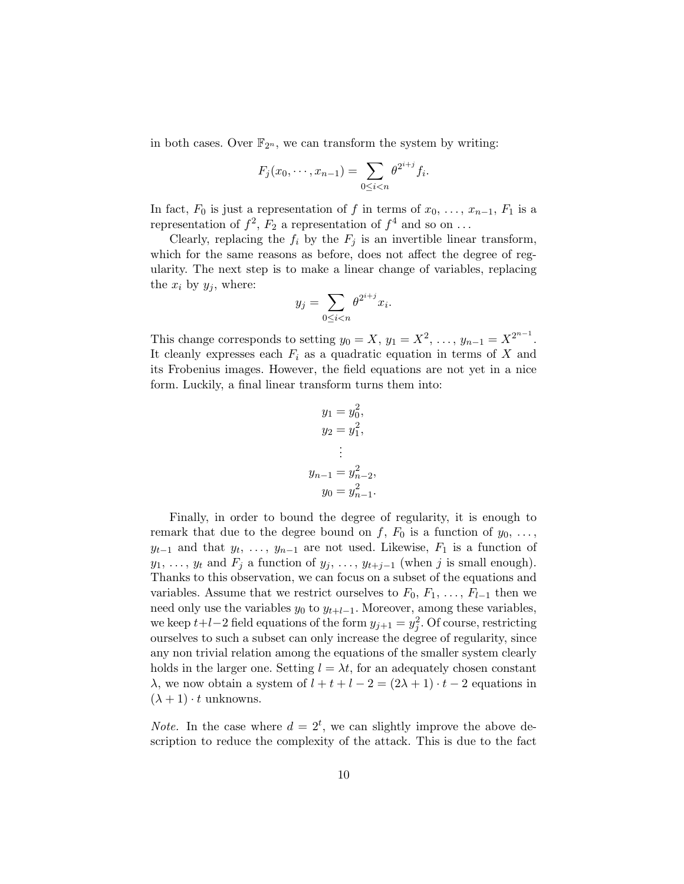in both cases. Over  $\mathbb{F}_{2^n}$ , we can transform the system by writing:

$$
F_j(x_0, \dots, x_{n-1}) = \sum_{0 \le i < n} \theta^{2^{i+j}} f_i.
$$

In fact,  $F_0$  is just a representation of f in terms of  $x_0, \ldots, x_{n-1}, F_1$  is a representation of  $f^2$ ,  $F_2$  a representation of  $f^4$  and so on ...

Clearly, replacing the  $f_i$  by the  $F_j$  is an invertible linear transform, which for the same reasons as before, does not affect the degree of regularity. The next step is to make a linear change of variables, replacing the  $x_i$  by  $y_j$ , where:

$$
y_j = \sum_{0 \le i < n} \theta^{2^{i+j}} x_i.
$$

This change corresponds to setting  $y_0 = X$ ,  $y_1 = X^2$ , ...,  $y_{n-1} = X^{2^{n-1}}$ . It cleanly expresses each  $F_i$  as a quadratic equation in terms of  $X$  and its Frobenius images. However, the field equations are not yet in a nice form. Luckily, a final linear transform turns them into:

$$
y_1 = y_0^2,
$$
  
\n
$$
y_2 = y_1^2,
$$
  
\n
$$
\vdots
$$
  
\n
$$
y_{n-1} = y_{n-2}^2,
$$
  
\n
$$
y_0 = y_{n-1}^2.
$$

Finally, in order to bound the degree of regularity, it is enough to remark that due to the degree bound on f,  $F_0$  is a function of  $y_0, \ldots,$  $y_{t-1}$  and that  $y_t, \ldots, y_{n-1}$  are not used. Likewise,  $F_1$  is a function of  $y_1, \ldots, y_t$  and  $F_j$  a function of  $y_j, \ldots, y_{t+j-1}$  (when j is small enough). Thanks to this observation, we can focus on a subset of the equations and variables. Assume that we restrict ourselves to  $F_0, F_1, \ldots, F_{l-1}$  then we need only use the variables  $y_0$  to  $y_{t+l-1}$ . Moreover, among these variables, we keep  $t+l-2$  field equations of the form  $y_{j+1} = y_j^2$ . Of course, restricting ourselves to such a subset can only increase the degree of regularity, since any non trivial relation among the equations of the smaller system clearly holds in the larger one. Setting  $l = \lambda t$ , for an adequately chosen constant λ, we now obtain a system of  $l + t + l - 2 = (2λ + 1) \cdot t - 2$  equations in  $(\lambda + 1) \cdot t$  unknowns.

*Note*. In the case where  $d = 2^t$ , we can slightly improve the above description to reduce the complexity of the attack. This is due to the fact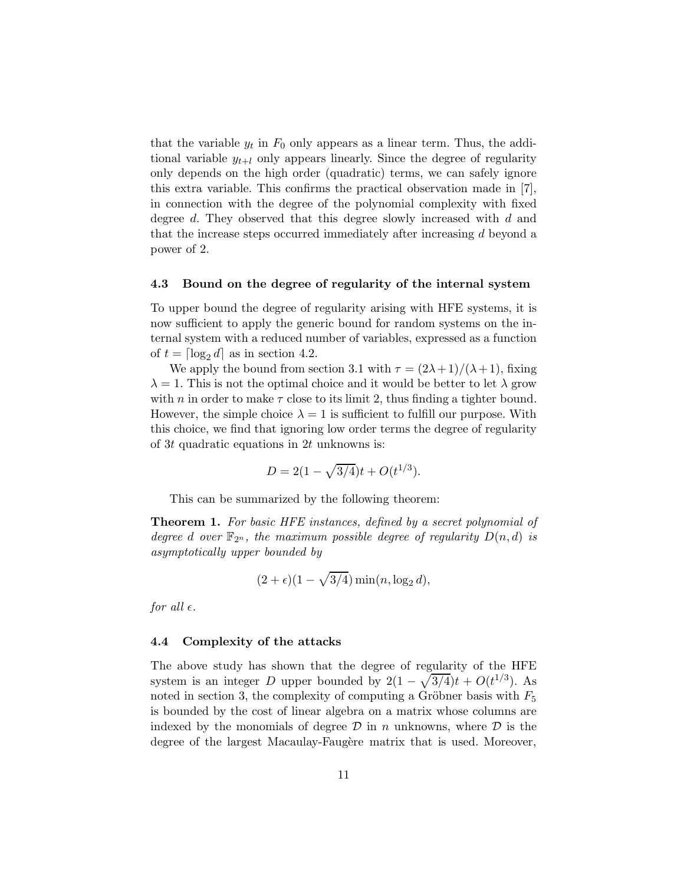that the variable  $y_t$  in  $F_0$  only appears as a linear term. Thus, the additional variable  $y_{t+l}$  only appears linearly. Since the degree of regularity only depends on the high order (quadratic) terms, we can safely ignore this extra variable. This confirms the practical observation made in [7], in connection with the degree of the polynomial complexity with fixed degree d. They observed that this degree slowly increased with d and that the increase steps occurred immediately after increasing d beyond a power of 2.

#### 4.3 Bound on the degree of regularity of the internal system

To upper bound the degree of regularity arising with HFE systems, it is now sufficient to apply the generic bound for random systems on the internal system with a reduced number of variables, expressed as a function of  $t = \lceil \log_2 d \rceil$  as in section 4.2.

We apply the bound from section 3.1 with  $\tau = (2\lambda + 1)/(\lambda + 1)$ , fixing  $\lambda = 1$ . This is not the optimal choice and it would be better to let  $\lambda$  grow with *n* in order to make  $\tau$  close to its limit 2, thus finding a tighter bound. However, the simple choice  $\lambda = 1$  is sufficient to fulfill our purpose. With this choice, we find that ignoring low order terms the degree of regularity of 3t quadratic equations in 2t unknowns is:

$$
D = 2(1 - \sqrt{3/4})t + O(t^{1/3}).
$$

This can be summarized by the following theorem:

Theorem 1. For basic HFE instances, defined by a secret polynomial of degree d over  $\mathbb{F}_{2^n}$ , the maximum possible degree of regularity  $D(n, d)$  is asymptotically upper bounded by

$$
(2 + \epsilon)(1 - \sqrt{3/4})\min(n, \log_2 d),
$$

for all  $\epsilon$ .

#### 4.4 Complexity of the attacks

The above study has shown that the degree of regularity of the HFE system is an integer D upper bounded by  $2(1 - \sqrt{3/4})t + O(t^{1/3})$ . As noted in section 3, the complexity of computing a Gröbner basis with  $F_5$ is bounded by the cost of linear algebra on a matrix whose columns are indexed by the monomials of degree  $\mathcal D$  in n unknowns, where  $\mathcal D$  is the degree of the largest Macaulay-Faugère matrix that is used. Moreover,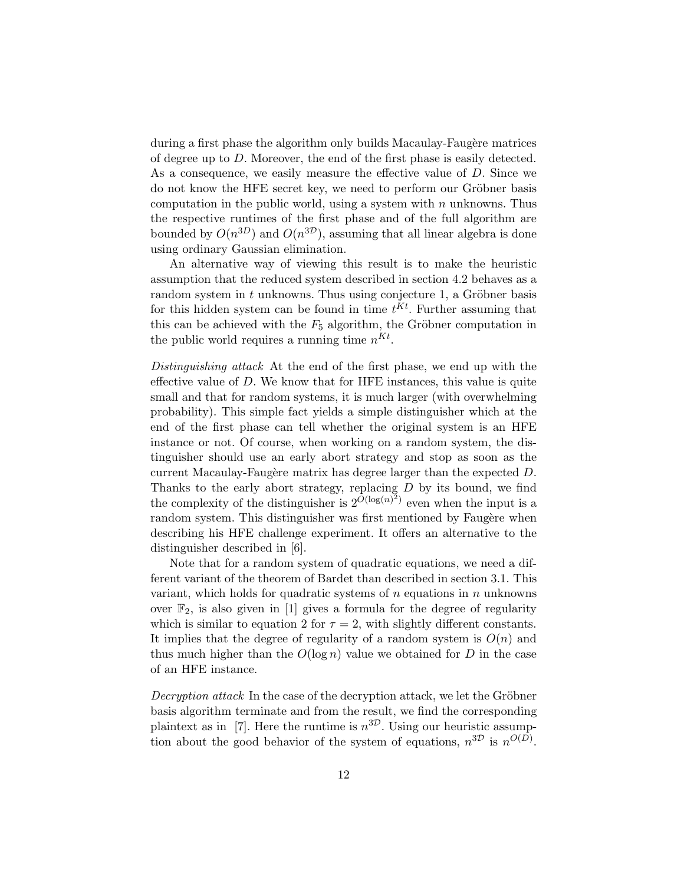during a first phase the algorithm only builds Macaulay-Faugère matrices of degree up to D. Moreover, the end of the first phase is easily detected. As a consequence, we easily measure the effective value of D. Since we do not know the HFE secret key, we need to perform our Gröbner basis computation in the public world, using a system with  $n$  unknowns. Thus the respective runtimes of the first phase and of the full algorithm are bounded by  $O(n^{3D})$  and  $O(n^{3D})$ , assuming that all linear algebra is done using ordinary Gaussian elimination.

An alternative way of viewing this result is to make the heuristic assumption that the reduced system described in section 4.2 behaves as a random system in  $t$  unknowns. Thus using conjecture 1, a Gröbner basis for this hidden system can be found in time  $t^{Kt}$ . Further assuming that this can be achieved with the  $F_5$  algorithm, the Gröbner computation in the public world requires a running time  $n^{Kt}$ .

Distinguishing attack At the end of the first phase, we end up with the effective value of  $D$ . We know that for HFE instances, this value is quite small and that for random systems, it is much larger (with overwhelming probability). This simple fact yields a simple distinguisher which at the end of the first phase can tell whether the original system is an HFE instance or not. Of course, when working on a random system, the distinguisher should use an early abort strategy and stop as soon as the current Macaulay-Faugère matrix has degree larger than the expected  $D$ . Thanks to the early abort strategy, replacing  $D$  by its bound, we find the complexity of the distinguisher is  $2^{\tilde{O}(\log(n)^2)}$  even when the input is a random system. This distinguisher was first mentioned by Faugère when describing his HFE challenge experiment. It offers an alternative to the distinguisher described in [6].

Note that for a random system of quadratic equations, we need a different variant of the theorem of Bardet than described in section 3.1. This variant, which holds for quadratic systems of  $n$  equations in  $n$  unknowns over  $\mathbb{F}_2$ , is also given in [1] gives a formula for the degree of regularity which is similar to equation 2 for  $\tau = 2$ , with slightly different constants. It implies that the degree of regularity of a random system is  $O(n)$  and thus much higher than the  $O(\log n)$  value we obtained for D in the case of an HFE instance.

Decryption attack In the case of the decryption attack, we let the Gröbner basis algorithm terminate and from the result, we find the corresponding plaintext as in [7]. Here the runtime is  $n^{3D}$ . Using our heuristic assumption about the good behavior of the system of equations,  $n^{3D}$  is  $n^{O(D)}$ .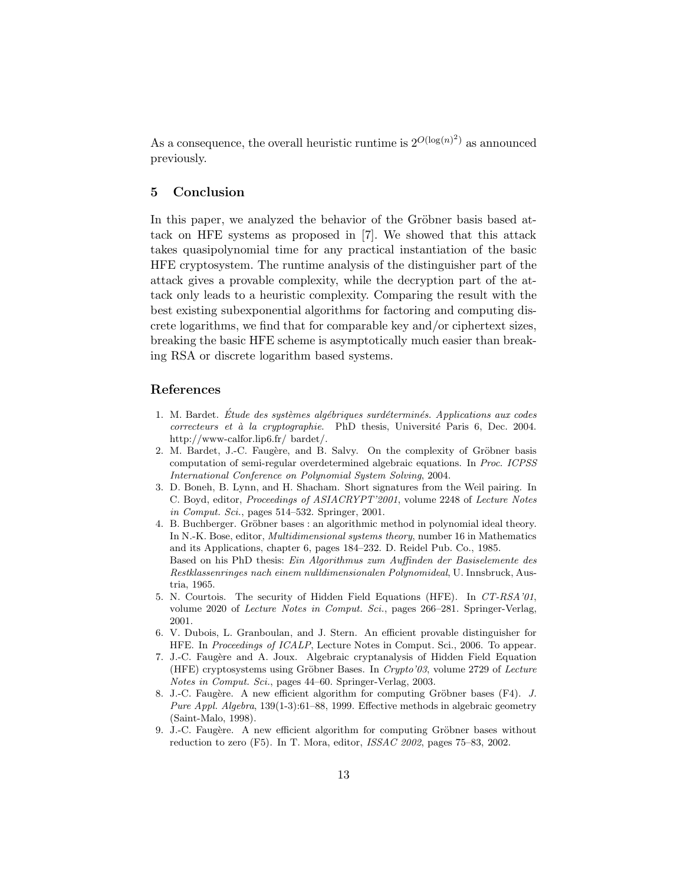As a consequence, the overall heuristic runtime is  $2^{O(\log(n)^2)}$  as announced previously.

# 5 Conclusion

In this paper, we analyzed the behavior of the Gröbner basis based attack on HFE systems as proposed in [7]. We showed that this attack takes quasipolynomial time for any practical instantiation of the basic HFE cryptosystem. The runtime analysis of the distinguisher part of the attack gives a provable complexity, while the decryption part of the attack only leads to a heuristic complexity. Comparing the result with the best existing subexponential algorithms for factoring and computing discrete logarithms, we find that for comparable key and/or ciphertext sizes, breaking the basic HFE scheme is asymptotically much easier than breaking RSA or discrete logarithm based systems.

## References

- 1. M. Bardet. Etude des systèmes algébriques surdéterminés. Applications aux codes  $correcteurs et à la cryptographie. PhD thesis, Université Paris 6, Dec. 2004.$ http://www-calfor.lip6.fr/ bardet/.
- 2. M. Bardet, J.-C. Faugère, and B. Salvy. On the complexity of Gröbner basis computation of semi-regular overdetermined algebraic equations. In Proc. ICPSS International Conference on Polynomial System Solving, 2004.
- 3. D. Boneh, B. Lynn, and H. Shacham. Short signatures from the Weil pairing. In C. Boyd, editor, Proceedings of ASIACRYPT'2001, volume 2248 of Lecture Notes in Comput. Sci., pages  $514-532$ . Springer, 2001.
- 4. B. Buchberger. Gröbner bases : an algorithmic method in polynomial ideal theory. In N.-K. Bose, editor, Multidimensional systems theory, number 16 in Mathematics and its Applications, chapter 6, pages 184–232. D. Reidel Pub. Co., 1985. Based on his PhD thesis: Ein Algorithmus zum Auffinden der Basiselemente des Restklassenringes nach einem nulldimensionalen Polynomideal, U. Innsbruck, Austria, 1965.
- 5. N. Courtois. The security of Hidden Field Equations (HFE). In CT-RSA'01, volume 2020 of Lecture Notes in Comput. Sci., pages 266–281. Springer-Verlag, 2001.
- 6. V. Dubois, L. Granboulan, and J. Stern. An efficient provable distinguisher for HFE. In Proceedings of ICALP, Lecture Notes in Comput. Sci., 2006. To appear.
- 7. J.-C. Faugère and A. Joux. Algebraic cryptanalysis of Hidden Field Equation (HFE) cryptosystems using Gröbner Bases. In Crypto'03, volume 2729 of Lecture Notes in Comput. Sci., pages 44–60. Springer-Verlag, 2003.
- 8. J.-C. Faugère. A new efficient algorithm for computing Gröbner bases (F4). J. Pure Appl. Algebra, 139(1-3):61–88, 1999. Effective methods in algebraic geometry (Saint-Malo, 1998).
- 9. J.-C. Faugère. A new efficient algorithm for computing Gröbner bases without reduction to zero (F5). In T. Mora, editor, ISSAC 2002, pages 75–83, 2002.